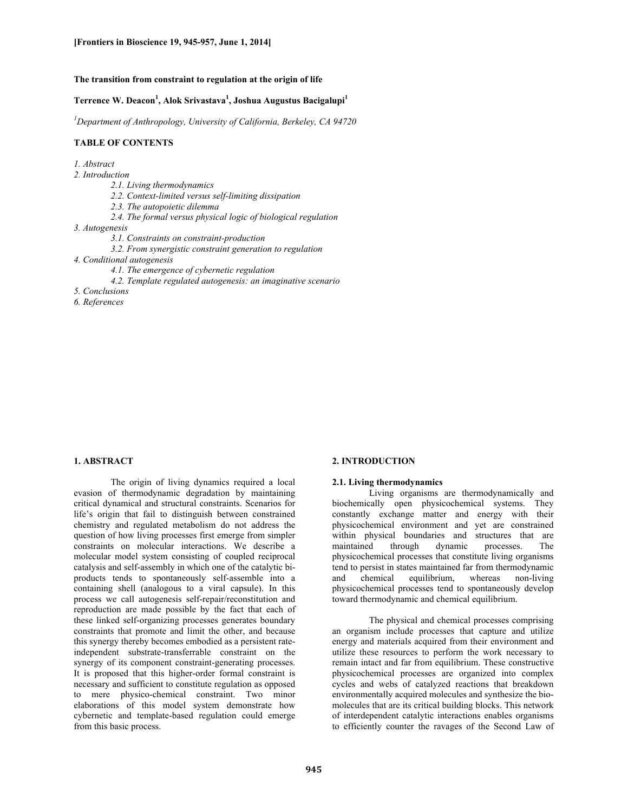# **The transition from constraint to regulation at the origin of life**

# **Terrence W. Deacon1 , Alok Srivastava1 , Joshua Augustus Bacigalupi1**

*1 Department of Anthropology, University of California, Berkeley, CA 94720* 

# **TABLE OF CONTENTS**

*1. Abstract* 

- *2. Introduction* 
	- *2.1. Living thermodynamics*
	- *2.2. Context-limited versus self-limiting dissipation*
	- *2.3. The autopoietic dilemma*
	- *2.4. The formal versus physical logic of biological regulation*

*3. Autogenesis* 

*3.1. Constraints on constraint-production* 

 *3.2. From synergistic constraint generation to regulation* 

*4. Conditional autogenesis* 

- *4.1. The emergence of cybernetic regulation*
- *4.2. Template regulated autogenesis: an imaginative scenario*

*5. Conclusions* 

*6. References* 

### **1. ABSTRACT**

The origin of living dynamics required a local evasion of thermodynamic degradation by maintaining critical dynamical and structural constraints. Scenarios for life's origin that fail to distinguish between constrained chemistry and regulated metabolism do not address the question of how living processes first emerge from simpler constraints on molecular interactions. We describe a molecular model system consisting of coupled reciprocal catalysis and self-assembly in which one of the catalytic biproducts tends to spontaneously self-assemble into a containing shell (analogous to a viral capsule). In this process we call autogenesis self-repair/reconstitution and reproduction are made possible by the fact that each of these linked self-organizing processes generates boundary constraints that promote and limit the other, and because this synergy thereby becomes embodied as a persistent rateindependent substrate-transferrable constraint on the synergy of its component constraint-generating processes. It is proposed that this higher-order formal constraint is necessary and sufficient to constitute regulation as opposed to mere physico-chemical constraint. Two minor elaborations of this model system demonstrate how cybernetic and template-based regulation could emerge from this basic process.

#### **2. INTRODUCTION**

#### **2.1. Living thermodynamics**

Living organisms are thermodynamically and biochemically open physicochemical systems. They constantly exchange matter and energy with their physicochemical environment and yet are constrained within physical boundaries and structures that are maintained through dynamic processes. The physicochemical processes that constitute living organisms tend to persist in states maintained far from thermodynamic and chemical equilibrium, whereas non-living physicochemical processes tend to spontaneously develop toward thermodynamic and chemical equilibrium.

The physical and chemical processes comprising an organism include processes that capture and utilize energy and materials acquired from their environment and utilize these resources to perform the work necessary to remain intact and far from equilibrium. These constructive physicochemical processes are organized into complex cycles and webs of catalyzed reactions that breakdown environmentally acquired molecules and synthesize the biomolecules that are its critical building blocks. This network of interdependent catalytic interactions enables organisms to efficiently counter the ravages of the Second Law of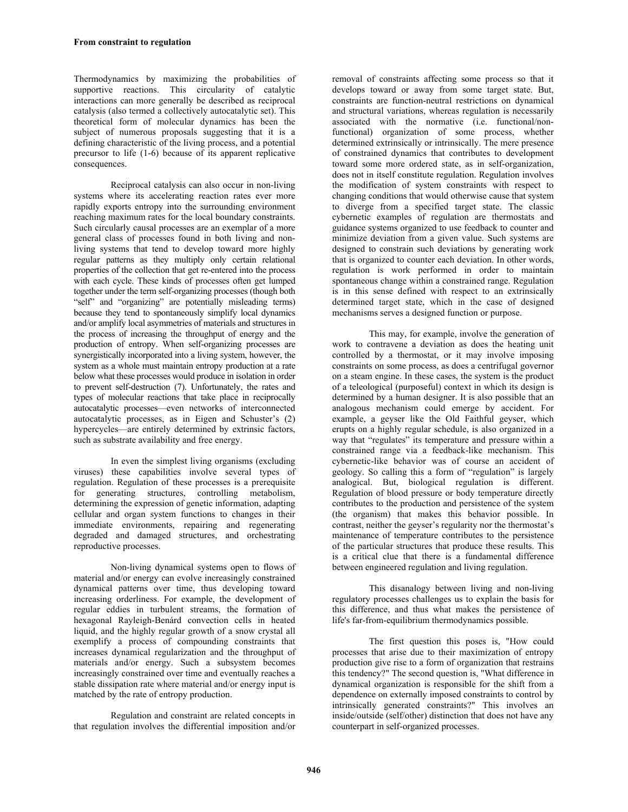Thermodynamics by maximizing the probabilities of supportive reactions. This circularity of catalytic interactions can more generally be described as reciprocal catalysis (also termed a collectively autocatalytic set). This theoretical form of molecular dynamics has been the subject of numerous proposals suggesting that it is a defining characteristic of the living process, and a potential precursor to life (1-6) because of its apparent replicative consequences.

Reciprocal catalysis can also occur in non-living systems where its accelerating reaction rates ever more rapidly exports entropy into the surrounding environment reaching maximum rates for the local boundary constraints. Such circularly causal processes are an exemplar of a more general class of processes found in both living and nonliving systems that tend to develop toward more highly regular patterns as they multiply only certain relational properties of the collection that get re-entered into the process with each cycle. These kinds of processes often get lumped together under the term self-organizing processes (though both "self" and "organizing" are potentially misleading terms) because they tend to spontaneously simplify local dynamics and/or amplify local asymmetries of materials and structures in the process of increasing the throughput of energy and the production of entropy. When self-organizing processes are synergistically incorporated into a living system, however, the system as a whole must maintain entropy production at a rate below what these processes would produce in isolation in order to prevent self-destruction (7). Unfortunately, the rates and types of molecular reactions that take place in reciprocally autocatalytic processes—even networks of interconnected autocatalytic processes, as in Eigen and Schuster's (2) hypercycles—are entirely determined by extrinsic factors, such as substrate availability and free energy.

In even the simplest living organisms (excluding viruses) these capabilities involve several types of regulation. Regulation of these processes is a prerequisite for generating structures, controlling metabolism, determining the expression of genetic information, adapting cellular and organ system functions to changes in their immediate environments, repairing and regenerating degraded and damaged structures, and orchestrating reproductive processes.

Non-living dynamical systems open to flows of material and/or energy can evolve increasingly constrained dynamical patterns over time, thus developing toward increasing orderliness. For example, the development of regular eddies in turbulent streams, the formation of hexagonal Rayleigh-Benárd convection cells in heated liquid, and the highly regular growth of a snow crystal all exemplify a process of compounding constraints that increases dynamical regularization and the throughput of materials and/or energy. Such a subsystem becomes increasingly constrained over time and eventually reaches a stable dissipation rate where material and/or energy input is matched by the rate of entropy production.

Regulation and constraint are related concepts in that regulation involves the differential imposition and/or

removal of constraints affecting some process so that it develops toward or away from some target state. But, constraints are function-neutral restrictions on dynamical and structural variations, whereas regulation is necessarily associated with the normative (i.e. functional/nonfunctional) organization of some process, whether determined extrinsically or intrinsically. The mere presence of constrained dynamics that contributes to development toward some more ordered state, as in self-organization, does not in itself constitute regulation. Regulation involves the modification of system constraints with respect to changing conditions that would otherwise cause that system to diverge from a specified target state. The classic cybernetic examples of regulation are thermostats and guidance systems organized to use feedback to counter and minimize deviation from a given value. Such systems are designed to constrain such deviations by generating work that is organized to counter each deviation. In other words, regulation is work performed in order to maintain spontaneous change within a constrained range. Regulation is in this sense defined with respect to an extrinsically determined target state, which in the case of designed mechanisms serves a designed function or purpose.

This may, for example, involve the generation of work to contravene a deviation as does the heating unit controlled by a thermostat, or it may involve imposing constraints on some process, as does a centrifugal governor on a steam engine. In these cases, the system is the product of a teleological (purposeful) context in which its design is determined by a human designer. It is also possible that an analogous mechanism could emerge by accident. For example, a geyser like the Old Faithful geyser, which erupts on a highly regular schedule, is also organized in a way that "regulates" its temperature and pressure within a constrained range via a feedback-like mechanism. This cybernetic-like behavior was of course an accident of geology. So calling this a form of "regulation" is largely analogical. But, biological regulation is different. Regulation of blood pressure or body temperature directly contributes to the production and persistence of the system (the organism) that makes this behavior possible. In contrast, neither the geyser's regularity nor the thermostat's maintenance of temperature contributes to the persistence of the particular structures that produce these results. This is a critical clue that there is a fundamental difference between engineered regulation and living regulation.

This disanalogy between living and non-living regulatory processes challenges us to explain the basis for this difference, and thus what makes the persistence of life's far-from-equilibrium thermodynamics possible.

The first question this poses is, "How could processes that arise due to their maximization of entropy production give rise to a form of organization that restrains this tendency?" The second question is, "What difference in dynamical organization is responsible for the shift from a dependence on externally imposed constraints to control by intrinsically generated constraints?" This involves an inside/outside (self/other) distinction that does not have any counterpart in self-organized processes.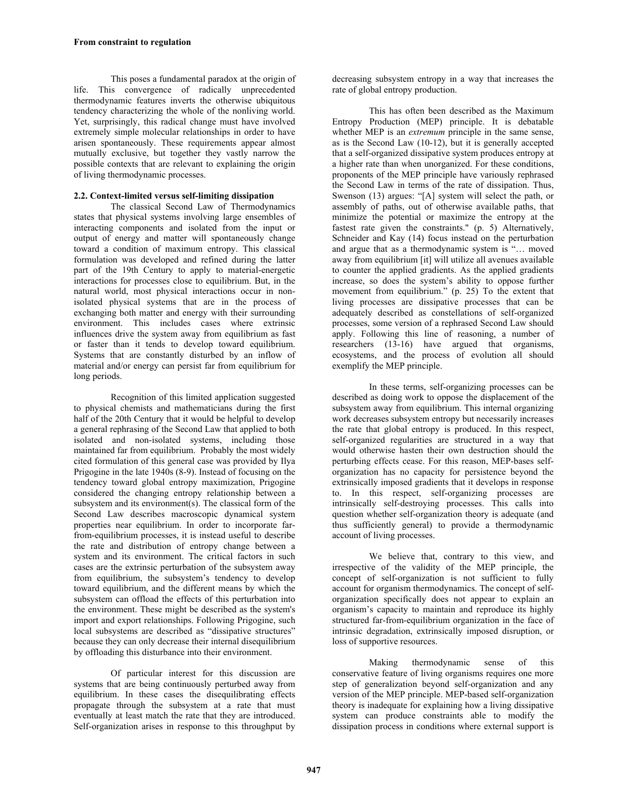This poses a fundamental paradox at the origin of life. This convergence of radically unprecedented thermodynamic features inverts the otherwise ubiquitous tendency characterizing the whole of the nonliving world. Yet, surprisingly, this radical change must have involved extremely simple molecular relationships in order to have arisen spontaneously. These requirements appear almost mutually exclusive, but together they vastly narrow the possible contexts that are relevant to explaining the origin of living thermodynamic processes.

# **2.2. Context-limited versus self-limiting dissipation**

The classical Second Law of Thermodynamics states that physical systems involving large ensembles of interacting components and isolated from the input or output of energy and matter will spontaneously change toward a condition of maximum entropy. This classical formulation was developed and refined during the latter part of the 19th Century to apply to material-energetic interactions for processes close to equilibrium. But, in the natural world, most physical interactions occur in nonisolated physical systems that are in the process of exchanging both matter and energy with their surrounding environment. This includes cases where extrinsic influences drive the system away from equilibrium as fast or faster than it tends to develop toward equilibrium. Systems that are constantly disturbed by an inflow of material and/or energy can persist far from equilibrium for long periods.

Recognition of this limited application suggested to physical chemists and mathematicians during the first half of the 20th Century that it would be helpful to develop a general rephrasing of the Second Law that applied to both isolated and non-isolated systems, including those maintained far from equilibrium. Probably the most widely cited formulation of this general case was provided by Ilya Prigogine in the late 1940s (8-9). Instead of focusing on the tendency toward global entropy maximization, Prigogine considered the changing entropy relationship between a subsystem and its environment(s). The classical form of the Second Law describes macroscopic dynamical system properties near equilibrium. In order to incorporate farfrom-equilibrium processes, it is instead useful to describe the rate and distribution of entropy change between a system and its environment. The critical factors in such cases are the extrinsic perturbation of the subsystem away from equilibrium, the subsystem's tendency to develop toward equilibrium, and the different means by which the subsystem can offload the effects of this perturbation into the environment. These might be described as the system's import and export relationships. Following Prigogine, such local subsystems are described as "dissipative structures" because they can only decrease their internal disequilibrium by offloading this disturbance into their environment.

Of particular interest for this discussion are systems that are being continuously perturbed away from equilibrium. In these cases the disequilibrating effects propagate through the subsystem at a rate that must eventually at least match the rate that they are introduced. Self-organization arises in response to this throughput by

decreasing subsystem entropy in a way that increases the rate of global entropy production.

This has often been described as the Maximum Entropy Production (MEP) principle. It is debatable whether MEP is an *extremum* principle in the same sense, as is the Second Law  $(10-12)$ , but it is generally accepted that a self-organized dissipative system produces entropy at a higher rate than when unorganized. For these conditions, proponents of the MEP principle have variously rephrased the Second Law in terms of the rate of dissipation. Thus, Swenson (13) argues: "[A] system will select the path, or assembly of paths, out of otherwise available paths, that minimize the potential or maximize the entropy at the fastest rate given the constraints." (p. 5) Alternatively, Schneider and Kay (14) focus instead on the perturbation and argue that as a thermodynamic system is "… moved away from equilibrium [it] will utilize all avenues available to counter the applied gradients. As the applied gradients increase, so does the system's ability to oppose further movement from equilibrium." (p. 25) To the extent that living processes are dissipative processes that can be adequately described as constellations of self-organized processes, some version of a rephrased Second Law should apply. Following this line of reasoning, a number of researchers (13-16) have argued that organisms, ecosystems, and the process of evolution all should exemplify the MEP principle.

In these terms, self-organizing processes can be described as doing work to oppose the displacement of the subsystem away from equilibrium. This internal organizing work decreases subsystem entropy but necessarily increases the rate that global entropy is produced. In this respect, self-organized regularities are structured in a way that would otherwise hasten their own destruction should the perturbing effects cease. For this reason, MEP-bases selforganization has no capacity for persistence beyond the extrinsically imposed gradients that it develops in response to. In this respect, self-organizing processes are intrinsically self-destroying processes. This calls into question whether self-organization theory is adequate (and thus sufficiently general) to provide a thermodynamic account of living processes.

We believe that, contrary to this view, and irrespective of the validity of the MEP principle, the concept of self-organization is not sufficient to fully account for organism thermodynamics. The concept of selforganization specifically does not appear to explain an organism's capacity to maintain and reproduce its highly structured far-from-equilibrium organization in the face of intrinsic degradation, extrinsically imposed disruption, or loss of supportive resources.

Making thermodynamic sense of this conservative feature of living organisms requires one more step of generalization beyond self-organization and any version of the MEP principle. MEP-based self-organization theory is inadequate for explaining how a living dissipative system can produce constraints able to modify the dissipation process in conditions where external support is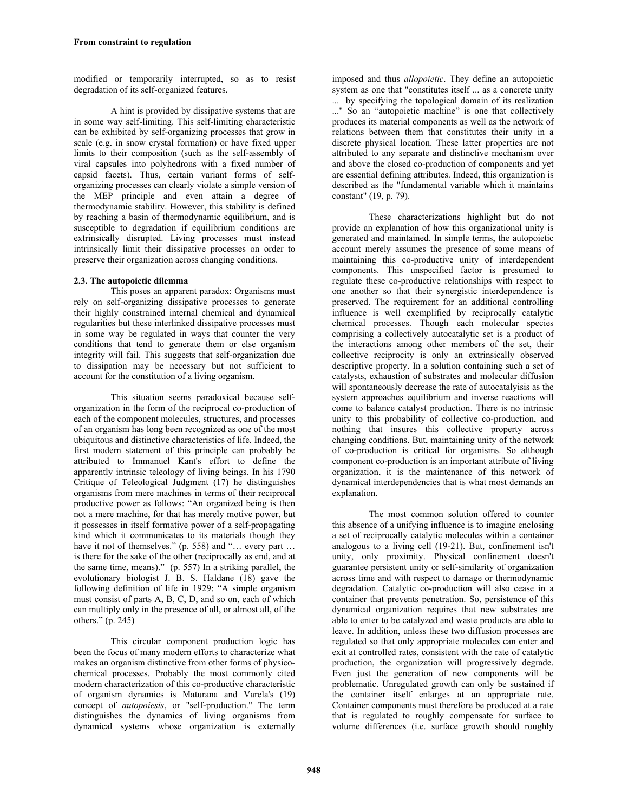modified or temporarily interrupted, so as to resist degradation of its self-organized features.

A hint is provided by dissipative systems that are in some way self-limiting. This self-limiting characteristic can be exhibited by self-organizing processes that grow in scale (e.g. in snow crystal formation) or have fixed upper limits to their composition (such as the self-assembly of viral capsules into polyhedrons with a fixed number of capsid facets). Thus, certain variant forms of selforganizing processes can clearly violate a simple version of the MEP principle and even attain a degree of thermodynamic stability. However, this stability is defined by reaching a basin of thermodynamic equilibrium, and is susceptible to degradation if equilibrium conditions are extrinsically disrupted. Living processes must instead intrinsically limit their dissipative processes on order to preserve their organization across changing conditions.

### **2.3. The autopoietic dilemma**

This poses an apparent paradox: Organisms must rely on self-organizing dissipative processes to generate their highly constrained internal chemical and dynamical regularities but these interlinked dissipative processes must in some way be regulated in ways that counter the very conditions that tend to generate them or else organism integrity will fail. This suggests that self-organization due to dissipation may be necessary but not sufficient to account for the constitution of a living organism.

This situation seems paradoxical because selforganization in the form of the reciprocal co-production of each of the component molecules, structures, and processes of an organism has long been recognized as one of the most ubiquitous and distinctive characteristics of life. Indeed, the first modern statement of this principle can probably be attributed to Immanuel Kant's effort to define the apparently intrinsic teleology of living beings. In his 1790 Critique of Teleological Judgment (17) he distinguishes organisms from mere machines in terms of their reciprocal productive power as follows: "An organized being is then not a mere machine, for that has merely motive power, but it possesses in itself formative power of a self-propagating kind which it communicates to its materials though they have it not of themselves." (p. 558) and "... every part ... is there for the sake of the other (reciprocally as end, and at the same time, means)." (p. 557) In a striking parallel, the evolutionary biologist J. B. S. Haldane (18) gave the following definition of life in 1929: "A simple organism must consist of parts A, B, C, D, and so on, each of which can multiply only in the presence of all, or almost all, of the others." (p. 245)

This circular component production logic has been the focus of many modern efforts to characterize what makes an organism distinctive from other forms of physicochemical processes. Probably the most commonly cited modern characterization of this co-productive characteristic of organism dynamics is Maturana and Varela's (19) concept of *autopoiesis*, or "self-production." The term distinguishes the dynamics of living organisms from dynamical systems whose organization is externally

imposed and thus *allopoietic*. They define an autopoietic system as one that "constitutes itself ... as a concrete unity ... by specifying the topological domain of its realization ..." So an "autopoietic machine" is one that collectively produces its material components as well as the network of relations between them that constitutes their unity in a discrete physical location. These latter properties are not attributed to any separate and distinctive mechanism over and above the closed co-production of components and yet are essential defining attributes. Indeed, this organization is described as the "fundamental variable which it maintains constant" (19, p. 79).

These characterizations highlight but do not provide an explanation of how this organizational unity is generated and maintained. In simple terms, the autopoietic account merely assumes the presence of some means of maintaining this co-productive unity of interdependent components. This unspecified factor is presumed to regulate these co-productive relationships with respect to one another so that their synergistic interdependence is preserved. The requirement for an additional controlling influence is well exemplified by reciprocally catalytic chemical processes. Though each molecular species comprising a collectively autocatalytic set is a product of the interactions among other members of the set, their collective reciprocity is only an extrinsically observed descriptive property. In a solution containing such a set of catalysts, exhaustion of substrates and molecular diffusion will spontaneously decrease the rate of autocatalyisis as the system approaches equilibrium and inverse reactions will come to balance catalyst production. There is no intrinsic unity to this probability of collective co-production, and nothing that insures this collective property across changing conditions. But, maintaining unity of the network of co-production is critical for organisms. So although component co-production is an important attribute of living organization, it is the maintenance of this network of dynamical interdependencies that is what most demands an explanation.

The most common solution offered to counter this absence of a unifying influence is to imagine enclosing a set of reciprocally catalytic molecules within a container analogous to a living cell (19-21). But, confinement isn't unity, only proximity. Physical confinement doesn't guarantee persistent unity or self-similarity of organization across time and with respect to damage or thermodynamic degradation. Catalytic co-production will also cease in a container that prevents penetration. So, persistence of this dynamical organization requires that new substrates are able to enter to be catalyzed and waste products are able to leave. In addition, unless these two diffusion processes are regulated so that only appropriate molecules can enter and exit at controlled rates, consistent with the rate of catalytic production, the organization will progressively degrade. Even just the generation of new components will be problematic. Unregulated growth can only be sustained if the container itself enlarges at an appropriate rate. Container components must therefore be produced at a rate that is regulated to roughly compensate for surface to volume differences (i.e. surface growth should roughly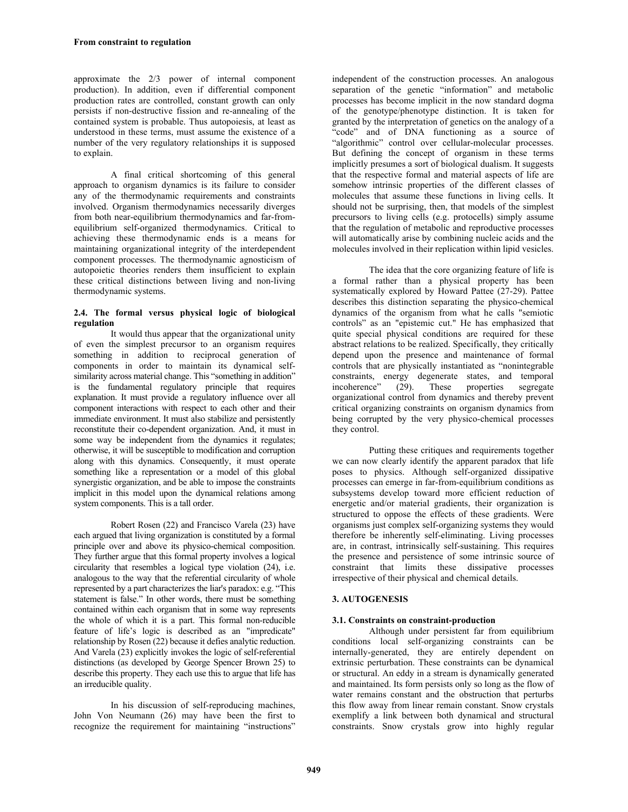approximate the 2/3 power of internal component production). In addition, even if differential component production rates are controlled, constant growth can only persists if non-destructive fission and re-annealing of the contained system is probable. Thus autopoiesis, at least as understood in these terms, must assume the existence of a number of the very regulatory relationships it is supposed to explain.

A final critical shortcoming of this general approach to organism dynamics is its failure to consider any of the thermodynamic requirements and constraints involved. Organism thermodynamics necessarily diverges from both near-equilibrium thermodynamics and far-fromequilibrium self-organized thermodynamics. Critical to achieving these thermodynamic ends is a means for maintaining organizational integrity of the interdependent component processes. The thermodynamic agnosticism of autopoietic theories renders them insufficient to explain these critical distinctions between living and non-living thermodynamic systems.

### **2.4. The formal versus physical logic of biological regulation**

It would thus appear that the organizational unity of even the simplest precursor to an organism requires something in addition to reciprocal generation of components in order to maintain its dynamical selfsimilarity across material change. This "something in addition" is the fundamental regulatory principle that requires explanation. It must provide a regulatory influence over all component interactions with respect to each other and their immediate environment. It must also stabilize and persistently reconstitute their co-dependent organization. And, it must in some way be independent from the dynamics it regulates; otherwise, it will be susceptible to modification and corruption along with this dynamics. Consequently, it must operate something like a representation or a model of this global synergistic organization, and be able to impose the constraints implicit in this model upon the dynamical relations among system components. This is a tall order.

Robert Rosen (22) and Francisco Varela (23) have each argued that living organization is constituted by a formal principle over and above its physico-chemical composition. They further argue that this formal property involves a logical circularity that resembles a logical type violation (24), i.e. analogous to the way that the referential circularity of whole represented by a part characterizes the liar's paradox: e.g. "This statement is false." In other words, there must be something contained within each organism that in some way represents the whole of which it is a part. This formal non-reducible feature of life's logic is described as an "impredicate" relationship by Rosen (22) because it defies analytic reduction. And Varela (23) explicitly invokes the logic of self-referential distinctions (as developed by George Spencer Brown 25) to describe this property. They each use this to argue that life has an irreducible quality.

In his discussion of self-reproducing machines, John Von Neumann (26) may have been the first to recognize the requirement for maintaining "instructions" independent of the construction processes. An analogous separation of the genetic "information" and metabolic processes has become implicit in the now standard dogma of the genotype/phenotype distinction. It is taken for granted by the interpretation of genetics on the analogy of a "code" and of DNA functioning as a source of "algorithmic" control over cellular-molecular processes. But defining the concept of organism in these terms implicitly presumes a sort of biological dualism. It suggests that the respective formal and material aspects of life are somehow intrinsic properties of the different classes of molecules that assume these functions in living cells. It should not be surprising, then, that models of the simplest precursors to living cells (e.g. protocells) simply assume that the regulation of metabolic and reproductive processes will automatically arise by combining nucleic acids and the molecules involved in their replication within lipid vesicles.

The idea that the core organizing feature of life is a formal rather than a physical property has been systematically explored by Howard Pattee (27-29). Pattee describes this distinction separating the physico-chemical dynamics of the organism from what he calls "semiotic controls" as an "epistemic cut." He has emphasized that quite special physical conditions are required for these abstract relations to be realized. Specifically, they critically depend upon the presence and maintenance of formal controls that are physically instantiated as "nonintegrable constraints, energy degenerate states, and temporal incoherence" (29). These properties segregate organizational control from dynamics and thereby prevent critical organizing constraints on organism dynamics from being corrupted by the very physico-chemical processes they control.

Putting these critiques and requirements together we can now clearly identify the apparent paradox that life poses to physics. Although self-organized dissipative processes can emerge in far-from-equilibrium conditions as subsystems develop toward more efficient reduction of energetic and/or material gradients, their organization is structured to oppose the effects of these gradients. Were organisms just complex self-organizing systems they would therefore be inherently self-eliminating. Living processes are, in contrast, intrinsically self-sustaining. This requires the presence and persistence of some intrinsic source of constraint that limits these dissipative processes irrespective of their physical and chemical details.

## **3. AUTOGENESIS**

## **3.1. Constraints on constraint-production**

Although under persistent far from equilibrium conditions local self-organizing constraints can be internally-generated, they are entirely dependent on extrinsic perturbation. These constraints can be dynamical or structural. An eddy in a stream is dynamically generated and maintained. Its form persists only so long as the flow of water remains constant and the obstruction that perturbs this flow away from linear remain constant. Snow crystals exemplify a link between both dynamical and structural constraints. Snow crystals grow into highly regular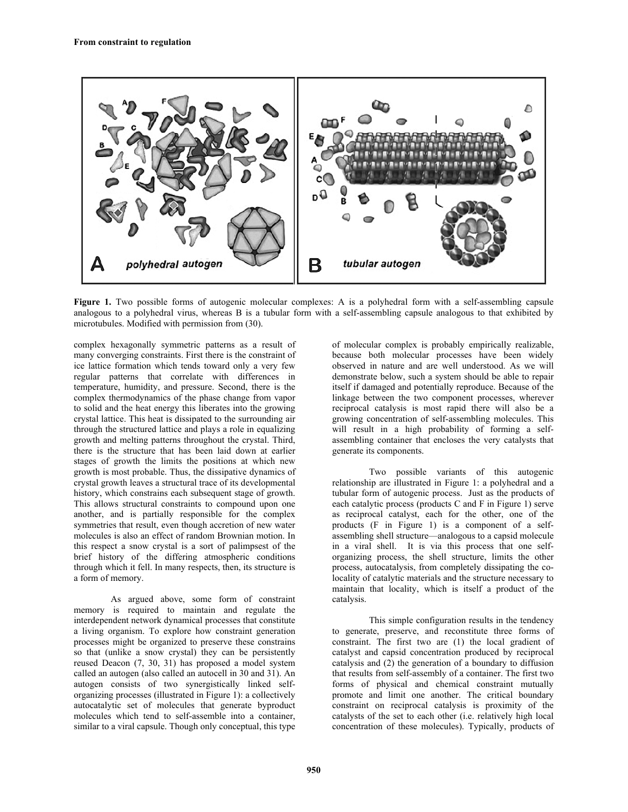

**Figure 1.** Two possible forms of autogenic molecular complexes: A is a polyhedral form with a self-assembling capsule analogous to a polyhedral virus, whereas B is a tubular form with a self-assembling capsule analogous to that exhibited by microtubules. Modified with permission from (30).

complex hexagonally symmetric patterns as a result of many converging constraints. First there is the constraint of ice lattice formation which tends toward only a very few regular patterns that correlate with differences in temperature, humidity, and pressure. Second, there is the complex thermodynamics of the phase change from vapor to solid and the heat energy this liberates into the growing crystal lattice. This heat is dissipated to the surrounding air through the structured lattice and plays a role in equalizing growth and melting patterns throughout the crystal. Third, there is the structure that has been laid down at earlier stages of growth the limits the positions at which new growth is most probable. Thus, the dissipative dynamics of crystal growth leaves a structural trace of its developmental history, which constrains each subsequent stage of growth. This allows structural constraints to compound upon one another, and is partially responsible for the complex symmetries that result, even though accretion of new water molecules is also an effect of random Brownian motion. In this respect a snow crystal is a sort of palimpsest of the brief history of the differing atmospheric conditions through which it fell. In many respects, then, its structure is a form of memory.

As argued above, some form of constraint memory is required to maintain and regulate the interdependent network dynamical processes that constitute a living organism. To explore how constraint generation processes might be organized to preserve these constrains so that (unlike a snow crystal) they can be persistently reused Deacon (7, 30, 31) has proposed a model system called an autogen (also called an autocell in 30 and 31). An autogen consists of two synergistically linked selforganizing processes (illustrated in Figure 1): a collectively autocatalytic set of molecules that generate byproduct molecules which tend to self-assemble into a container, similar to a viral capsule. Though only conceptual, this type

of molecular complex is probably empirically realizable, because both molecular processes have been widely observed in nature and are well understood. As we will demonstrate below, such a system should be able to repair itself if damaged and potentially reproduce. Because of the linkage between the two component processes, wherever reciprocal catalysis is most rapid there will also be a growing concentration of self-assembling molecules. This will result in a high probability of forming a selfassembling container that encloses the very catalysts that generate its components.

Two possible variants of this autogenic relationship are illustrated in Figure 1: a polyhedral and a tubular form of autogenic process. Just as the products of each catalytic process (products C and F in Figure 1) serve as reciprocal catalyst, each for the other, one of the products (F in Figure 1) is a component of a selfassembling shell structure—analogous to a capsid molecule in a viral shell. It is via this process that one selforganizing process, the shell structure, limits the other process, autocatalysis, from completely dissipating the colocality of catalytic materials and the structure necessary to maintain that locality, which is itself a product of the catalysis.

This simple configuration results in the tendency to generate, preserve, and reconstitute three forms of constraint. The first two are (1) the local gradient of catalyst and capsid concentration produced by reciprocal catalysis and (2) the generation of a boundary to diffusion that results from self-assembly of a container. The first two forms of physical and chemical constraint mutually promote and limit one another. The critical boundary constraint on reciprocal catalysis is proximity of the catalysts of the set to each other (i.e. relatively high local concentration of these molecules). Typically, products of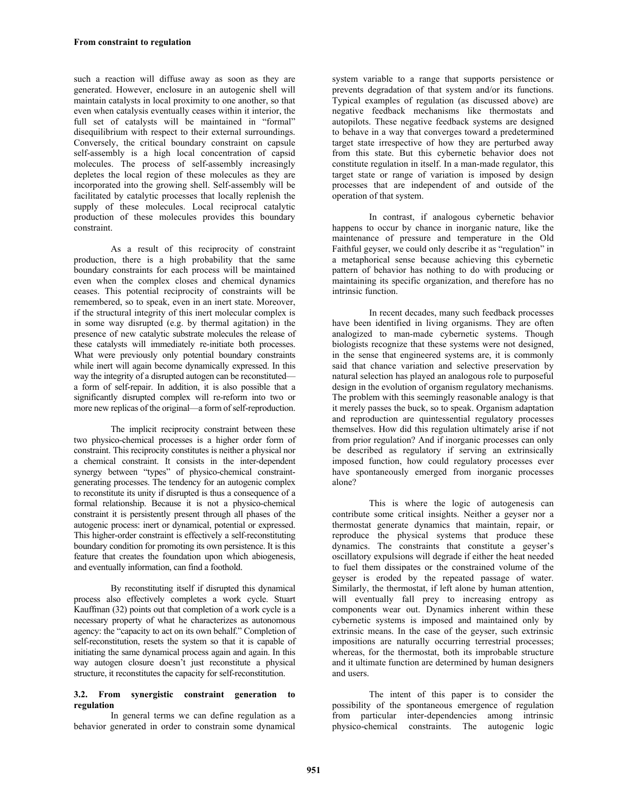such a reaction will diffuse away as soon as they are generated. However, enclosure in an autogenic shell will maintain catalysts in local proximity to one another, so that even when catalysis eventually ceases within it interior, the full set of catalysts will be maintained in "formal" disequilibrium with respect to their external surroundings. Conversely, the critical boundary constraint on capsule self-assembly is a high local concentration of capsid molecules. The process of self-assembly increasingly depletes the local region of these molecules as they are incorporated into the growing shell. Self-assembly will be facilitated by catalytic processes that locally replenish the supply of these molecules. Local reciprocal catalytic production of these molecules provides this boundary constraint.

As a result of this reciprocity of constraint production, there is a high probability that the same boundary constraints for each process will be maintained even when the complex closes and chemical dynamics ceases. This potential reciprocity of constraints will be remembered, so to speak, even in an inert state. Moreover, if the structural integrity of this inert molecular complex is in some way disrupted (e.g. by thermal agitation) in the presence of new catalytic substrate molecules the release of these catalysts will immediately re-initiate both processes. What were previously only potential boundary constraints while inert will again become dynamically expressed. In this way the integrity of a disrupted autogen can be reconstituted a form of self-repair. In addition, it is also possible that a significantly disrupted complex will re-reform into two or more new replicas of the original—a form of self-reproduction.

The implicit reciprocity constraint between these two physico-chemical processes is a higher order form of constraint. This reciprocity constitutes is neither a physical nor a chemical constraint. It consists in the inter-dependent synergy between "types" of physico-chemical constraintgenerating processes. The tendency for an autogenic complex to reconstitute its unity if disrupted is thus a consequence of a formal relationship. Because it is not a physico-chemical constraint it is persistently present through all phases of the autogenic process: inert or dynamical, potential or expressed. This higher-order constraint is effectively a self-reconstituting boundary condition for promoting its own persistence. It is this feature that creates the foundation upon which abiogenesis, and eventually information, can find a foothold.

By reconstituting itself if disrupted this dynamical process also effectively completes a work cycle. Stuart Kauffman (32) points out that completion of a work cycle is a necessary property of what he characterizes as autonomous agency: the "capacity to act on its own behalf." Completion of self-reconstitution, resets the system so that it is capable of initiating the same dynamical process again and again. In this way autogen closure doesn't just reconstitute a physical structure, it reconstitutes the capacity for self-reconstitution.

### **3.2. From synergistic constraint generation to regulation**

In general terms we can define regulation as a behavior generated in order to constrain some dynamical

system variable to a range that supports persistence or prevents degradation of that system and/or its functions. Typical examples of regulation (as discussed above) are negative feedback mechanisms like thermostats and autopilots. These negative feedback systems are designed to behave in a way that converges toward a predetermined target state irrespective of how they are perturbed away from this state. But this cybernetic behavior does not constitute regulation in itself. In a man-made regulator, this target state or range of variation is imposed by design processes that are independent of and outside of the operation of that system.

In contrast, if analogous cybernetic behavior happens to occur by chance in inorganic nature, like the maintenance of pressure and temperature in the Old Faithful geyser, we could only describe it as "regulation" in a metaphorical sense because achieving this cybernetic pattern of behavior has nothing to do with producing or maintaining its specific organization, and therefore has no intrinsic function.

In recent decades, many such feedback processes have been identified in living organisms. They are often analogized to man-made cybernetic systems. Though biologists recognize that these systems were not designed, in the sense that engineered systems are, it is commonly said that chance variation and selective preservation by natural selection has played an analogous role to purposeful design in the evolution of organism regulatory mechanisms. The problem with this seemingly reasonable analogy is that it merely passes the buck, so to speak. Organism adaptation and reproduction are quintessential regulatory processes themselves. How did this regulation ultimately arise if not from prior regulation? And if inorganic processes can only be described as regulatory if serving an extrinsically imposed function, how could regulatory processes ever have spontaneously emerged from inorganic processes alone?

This is where the logic of autogenesis can contribute some critical insights. Neither a geyser nor a thermostat generate dynamics that maintain, repair, or reproduce the physical systems that produce these dynamics. The constraints that constitute a geyser's oscillatory expulsions will degrade if either the heat needed to fuel them dissipates or the constrained volume of the geyser is eroded by the repeated passage of water. Similarly, the thermostat, if left alone by human attention, will eventually fall prey to increasing entropy as components wear out. Dynamics inherent within these cybernetic systems is imposed and maintained only by extrinsic means. In the case of the geyser, such extrinsic impositions are naturally occurring terrestrial processes; whereas, for the thermostat, both its improbable structure and it ultimate function are determined by human designers and users.

The intent of this paper is to consider the possibility of the spontaneous emergence of regulation from particular inter-dependencies among intrinsic physico-chemical constraints. The autogenic logic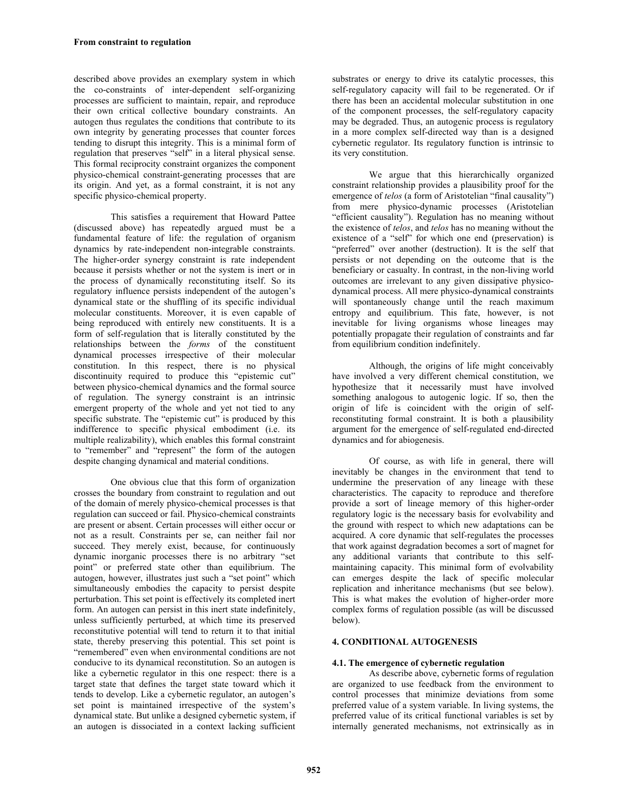described above provides an exemplary system in which the co-constraints of inter-dependent self-organizing processes are sufficient to maintain, repair, and reproduce their own critical collective boundary constraints. An autogen thus regulates the conditions that contribute to its own integrity by generating processes that counter forces tending to disrupt this integrity. This is a minimal form of regulation that preserves "self" in a literal physical sense. This formal reciprocity constraint organizes the component physico-chemical constraint-generating processes that are its origin. And yet, as a formal constraint, it is not any specific physico-chemical property.

This satisfies a requirement that Howard Pattee (discussed above) has repeatedly argued must be a fundamental feature of life: the regulation of organism dynamics by rate-independent non-integrable constraints. The higher-order synergy constraint is rate independent because it persists whether or not the system is inert or in the process of dynamically reconstituting itself. So its regulatory influence persists independent of the autogen's dynamical state or the shuffling of its specific individual molecular constituents. Moreover, it is even capable of being reproduced with entirely new constituents. It is a form of self-regulation that is literally constituted by the relationships between the *forms* of the constituent dynamical processes irrespective of their molecular constitution. In this respect, there is no physical discontinuity required to produce this "epistemic cut" between physico-chemical dynamics and the formal source of regulation. The synergy constraint is an intrinsic emergent property of the whole and yet not tied to any specific substrate. The "epistemic cut" is produced by this indifference to specific physical embodiment (i.e. its multiple realizability), which enables this formal constraint to "remember" and "represent" the form of the autogen despite changing dynamical and material conditions.

One obvious clue that this form of organization crosses the boundary from constraint to regulation and out of the domain of merely physico-chemical processes is that regulation can succeed or fail. Physico-chemical constraints are present or absent. Certain processes will either occur or not as a result. Constraints per se, can neither fail nor succeed. They merely exist, because, for continuously dynamic inorganic processes there is no arbitrary "set point" or preferred state other than equilibrium. The autogen, however, illustrates just such a "set point" which simultaneously embodies the capacity to persist despite perturbation. This set point is effectively its completed inert form. An autogen can persist in this inert state indefinitely, unless sufficiently perturbed, at which time its preserved reconstitutive potential will tend to return it to that initial state, thereby preserving this potential. This set point is "remembered" even when environmental conditions are not conducive to its dynamical reconstitution. So an autogen is like a cybernetic regulator in this one respect: there is a target state that defines the target state toward which it tends to develop. Like a cybernetic regulator, an autogen's set point is maintained irrespective of the system's dynamical state. But unlike a designed cybernetic system, if an autogen is dissociated in a context lacking sufficient substrates or energy to drive its catalytic processes, this self-regulatory capacity will fail to be regenerated. Or if there has been an accidental molecular substitution in one of the component processes, the self-regulatory capacity may be degraded. Thus, an autogenic process is regulatory in a more complex self-directed way than is a designed cybernetic regulator. Its regulatory function is intrinsic to its very constitution.

We argue that this hierarchically organized constraint relationship provides a plausibility proof for the emergence of *telos* (a form of Aristotelian "final causality") from mere physico-dynamic processes (Aristotelian "efficient causality"). Regulation has no meaning without the existence of *telos*, and *telos* has no meaning without the existence of a "self" for which one end (preservation) is "preferred" over another (destruction). It is the self that persists or not depending on the outcome that is the beneficiary or casualty. In contrast, in the non-living world outcomes are irrelevant to any given dissipative physicodynamical process. All mere physico-dynamical constraints will spontaneously change until the reach maximum entropy and equilibrium. This fate, however, is not inevitable for living organisms whose lineages may potentially propagate their regulation of constraints and far from equilibrium condition indefinitely.

Although, the origins of life might conceivably have involved a very different chemical constitution, we hypothesize that it necessarily must have involved something analogous to autogenic logic. If so, then the origin of life is coincident with the origin of selfreconstituting formal constraint. It is both a plausibility argument for the emergence of self-regulated end-directed dynamics and for abiogenesis.

Of course, as with life in general, there will inevitably be changes in the environment that tend to undermine the preservation of any lineage with these characteristics. The capacity to reproduce and therefore provide a sort of lineage memory of this higher-order regulatory logic is the necessary basis for evolvability and the ground with respect to which new adaptations can be acquired. A core dynamic that self-regulates the processes that work against degradation becomes a sort of magnet for any additional variants that contribute to this selfmaintaining capacity. This minimal form of evolvability can emerges despite the lack of specific molecular replication and inheritance mechanisms (but see below). This is what makes the evolution of higher-order more complex forms of regulation possible (as will be discussed below).

## **4. CONDITIONAL AUTOGENESIS**

## **4.1. The emergence of cybernetic regulation**

As describe above, cybernetic forms of regulation are organized to use feedback from the environment to control processes that minimize deviations from some preferred value of a system variable. In living systems, the preferred value of its critical functional variables is set by internally generated mechanisms, not extrinsically as in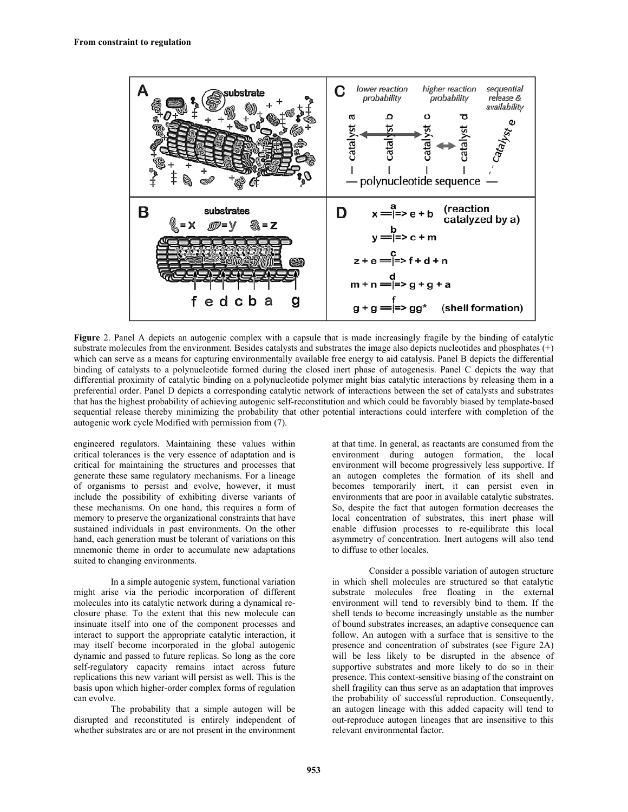

Figure 2. Panel A depicts an autogenic complex with a capsule that is made increasingly fragile by the binding of catalytic substrate molecules from the environment. Besides catalysts and substrates the image also depicts nucleotides and phosphates (+) which can serve as a means for capturing environmentally available free energy to aid catalysis. Panel B depicts the differential binding of catalysts to a polynucleotide formed during the closed inert phase of autogenesis. Panel C depicts the way that differential proximity of catalytic binding on a polynucleotide polymer might bias catalytic interactions by releasing them in a preferential order. Panel D depicts a corresponding catalytic network of interactions between the set of catalysts and substrates that has the highest probability of achieving autogenic self-reconstitution and which could be favorably biased by template-based sequential release thereby minimizing the probability that other potential interactions could interfere with completion of the autogenic work cycle Modified with permission from (7).

engineered regulators. Maintaining these values within critical tolerances is the very essence of adaptation and is critical for maintaining the structures and processes that generate these same regulatory mechanisms. For a lineage of organisms to persist and evolve, however, it must include the possibility of exhibiting diverse variants of these mechanisms. On one hand, this requires a form of memory to preserve the organizational constraints that have sustained individuals in past environments. On the other hand, each generation must be tolerant of variations on this mnemonic theme in order to accumulate new adaptations suited to changing environments.

In a simple autogenic system, functional variation might arise via the periodic incorporation of different molecules into its catalytic network during a dynamical reclosure phase. To the extent that this new molecule can insinuate itself into one of the component processes and interact to support the appropriate catalytic interaction, it may itself become incorporated in the global autogenic dynamic and passed to future replicas. So long as the core self-regulatory capacity remains intact across future replications this new variant will persist as well. This is the basis upon which higher-order complex forms of regulation can evolve.

The probability that a simple autogen will be disrupted and reconstituted is entirely independent of whether substrates are or are not present in the environment

at that time. In general, as reactants are consumed from the environment during autogen formation, the local environment will become progressively less supportive. If an autogen completes the formation of its shell and becomes temporarily inert, it can persist even in environments that are poor in available catalytic substrates. So, despite the fact that autogen formation decreases the local concentration of substrates, this inert phase will enable diffusion processes to re-equilibrate this local asymmetry of concentration. Inert autogens will also tend to diffuse to other locales.

Consider a possible variation of autogen structure in which shell molecules are structured so that catalytic substrate molecules free floating in the external environment will tend to reversibly bind to them. If the shell tends to become increasingly unstable as the number of bound substrates increases, an adaptive consequence can follow. An autogen with a surface that is sensitive to the presence and concentration of substrates (see Figure 2A) will be less likely to be disrupted in the absence of supportive substrates and more likely to do so in their presence. This context-sensitive biasing of the constraint on shell fragility can thus serve as an adaptation that improves the probability of successful reproduction. Consequently, an autogen lineage with this added capacity will tend to out-reproduce autogen lineages that are insensitive to this relevant environmental factor.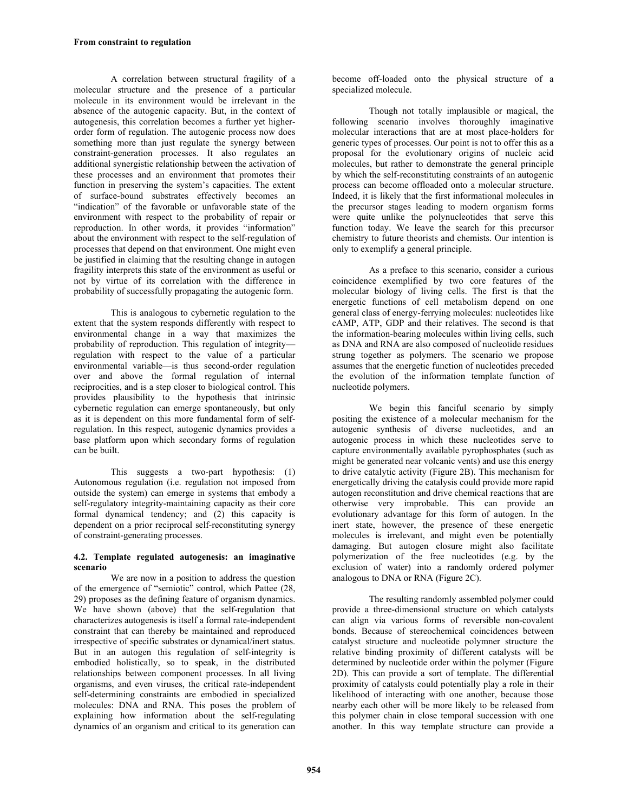A correlation between structural fragility of a molecular structure and the presence of a particular molecule in its environment would be irrelevant in the absence of the autogenic capacity. But, in the context of autogenesis, this correlation becomes a further yet higherorder form of regulation. The autogenic process now does something more than just regulate the synergy between constraint-generation processes. It also regulates an additional synergistic relationship between the activation of these processes and an environment that promotes their function in preserving the system's capacities. The extent of surface-bound substrates effectively becomes an "indication" of the favorable or unfavorable state of the environment with respect to the probability of repair or reproduction. In other words, it provides "information" about the environment with respect to the self-regulation of processes that depend on that environment. One might even be justified in claiming that the resulting change in autogen fragility interprets this state of the environment as useful or not by virtue of its correlation with the difference in probability of successfully propagating the autogenic form.

This is analogous to cybernetic regulation to the extent that the system responds differently with respect to environmental change in a way that maximizes the probability of reproduction. This regulation of integrity regulation with respect to the value of a particular environmental variable—is thus second-order regulation over and above the formal regulation of internal reciprocities, and is a step closer to biological control. This provides plausibility to the hypothesis that intrinsic cybernetic regulation can emerge spontaneously, but only as it is dependent on this more fundamental form of selfregulation. In this respect, autogenic dynamics provides a base platform upon which secondary forms of regulation can be built.

This suggests a two-part hypothesis: (1) Autonomous regulation (i.e. regulation not imposed from outside the system) can emerge in systems that embody a self-regulatory integrity-maintaining capacity as their core formal dynamical tendency; and (2) this capacity is dependent on a prior reciprocal self-reconstituting synergy of constraint-generating processes.

### **4.2. Template regulated autogenesis: an imaginative scenario**

We are now in a position to address the question of the emergence of "semiotic" control, which Pattee (28, 29) proposes as the defining feature of organism dynamics. We have shown (above) that the self-regulation that characterizes autogenesis is itself a formal rate-independent constraint that can thereby be maintained and reproduced irrespective of specific substrates or dynamical/inert status. But in an autogen this regulation of self-integrity is embodied holistically, so to speak, in the distributed relationships between component processes. In all living organisms, and even viruses, the critical rate-independent self-determining constraints are embodied in specialized molecules: DNA and RNA. This poses the problem of explaining how information about the self-regulating dynamics of an organism and critical to its generation can

become off-loaded onto the physical structure of a specialized molecule.

Though not totally implausible or magical, the following scenario involves thoroughly imaginative molecular interactions that are at most place-holders for generic types of processes. Our point is not to offer this as a proposal for the evolutionary origins of nucleic acid molecules, but rather to demonstrate the general principle by which the self-reconstituting constraints of an autogenic process can become offloaded onto a molecular structure. Indeed, it is likely that the first informational molecules in the precursor stages leading to modern organism forms were quite unlike the polynucleotides that serve this function today. We leave the search for this precursor chemistry to future theorists and chemists. Our intention is only to exemplify a general principle.

As a preface to this scenario, consider a curious coincidence exemplified by two core features of the molecular biology of living cells. The first is that the energetic functions of cell metabolism depend on one general class of energy-ferrying molecules: nucleotides like cAMP, ATP, GDP and their relatives. The second is that the information-bearing molecules within living cells, such as DNA and RNA are also composed of nucleotide residues strung together as polymers. The scenario we propose assumes that the energetic function of nucleotides preceded the evolution of the information template function of nucleotide polymers.

We begin this fanciful scenario by simply positing the existence of a molecular mechanism for the autogenic synthesis of diverse nucleotides, and an autogenic process in which these nucleotides serve to capture environmentally available pyrophosphates (such as might be generated near volcanic vents) and use this energy to drive catalytic activity (Figure 2B). This mechanism for energetically driving the catalysis could provide more rapid autogen reconstitution and drive chemical reactions that are otherwise very improbable. This can provide an evolutionary advantage for this form of autogen. In the inert state, however, the presence of these energetic molecules is irrelevant, and might even be potentially damaging. But autogen closure might also facilitate polymerization of the free nucleotides (e.g. by the exclusion of water) into a randomly ordered polymer analogous to DNA or RNA (Figure 2C).

The resulting randomly assembled polymer could provide a three-dimensional structure on which catalysts can align via various forms of reversible non-covalent bonds. Because of stereochemical coincidences between catalyst structure and nucleotide polymner structure the relative binding proximity of different catalysts will be determined by nucleotide order within the polymer (Figure 2D). This can provide a sort of template. The differential proximity of catalysts could potentially play a role in their likelihood of interacting with one another, because those nearby each other will be more likely to be released from this polymer chain in close temporal succession with one another. In this way template structure can provide a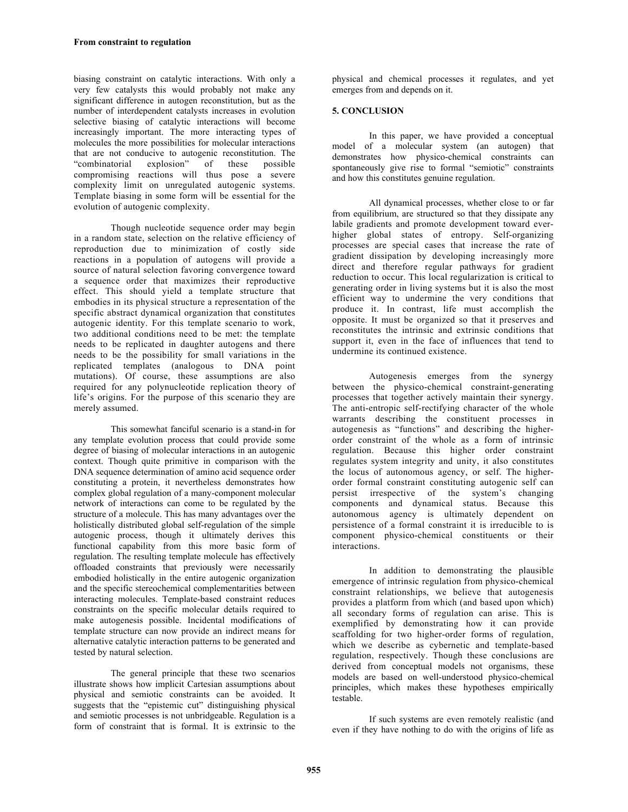biasing constraint on catalytic interactions. With only a very few catalysts this would probably not make any significant difference in autogen reconstitution, but as the number of interdependent catalysts increases in evolution selective biasing of catalytic interactions will become increasingly important. The more interacting types of molecules the more possibilities for molecular interactions that are not conducive to autogenic reconstitution. The "combinatorial explosion" of these possible "combinatorial explosion" of these possible compromising reactions will thus pose a severe complexity limit on unregulated autogenic systems. Template biasing in some form will be essential for the evolution of autogenic complexity.

Though nucleotide sequence order may begin in a random state, selection on the relative efficiency of reproduction due to minimization of costly side reactions in a population of autogens will provide a source of natural selection favoring convergence toward a sequence order that maximizes their reproductive effect. This should yield a template structure that embodies in its physical structure a representation of the specific abstract dynamical organization that constitutes autogenic identity. For this template scenario to work, two additional conditions need to be met: the template needs to be replicated in daughter autogens and there needs to be the possibility for small variations in the replicated templates (analogous to DNA point mutations). Of course, these assumptions are also required for any polynucleotide replication theory of life's origins. For the purpose of this scenario they are merely assumed.

This somewhat fanciful scenario is a stand-in for any template evolution process that could provide some degree of biasing of molecular interactions in an autogenic context. Though quite primitive in comparison with the DNA sequence determination of amino acid sequence order constituting a protein, it nevertheless demonstrates how complex global regulation of a many-component molecular network of interactions can come to be regulated by the structure of a molecule. This has many advantages over the holistically distributed global self-regulation of the simple autogenic process, though it ultimately derives this functional capability from this more basic form of regulation. The resulting template molecule has effectively offloaded constraints that previously were necessarily embodied holistically in the entire autogenic organization and the specific stereochemical complementarities between interacting molecules. Template-based constraint reduces constraints on the specific molecular details required to make autogenesis possible. Incidental modifications of template structure can now provide an indirect means for alternative catalytic interaction patterns to be generated and tested by natural selection.

The general principle that these two scenarios illustrate shows how implicit Cartesian assumptions about physical and semiotic constraints can be avoided. It suggests that the "epistemic cut" distinguishing physical and semiotic processes is not unbridgeable. Regulation is a form of constraint that is formal. It is extrinsic to the

physical and chemical processes it regulates, and yet emerges from and depends on it.

## **5. CONCLUSION**

In this paper, we have provided a conceptual model of a molecular system (an autogen) that demonstrates how physico-chemical constraints can spontaneously give rise to formal "semiotic" constraints and how this constitutes genuine regulation.

All dynamical processes, whether close to or far from equilibrium, are structured so that they dissipate any labile gradients and promote development toward everhigher global states of entropy. Self-organizing processes are special cases that increase the rate of gradient dissipation by developing increasingly more direct and therefore regular pathways for gradient reduction to occur. This local regularization is critical to generating order in living systems but it is also the most efficient way to undermine the very conditions that produce it. In contrast, life must accomplish the opposite. It must be organized so that it preserves and reconstitutes the intrinsic and extrinsic conditions that support it, even in the face of influences that tend to undermine its continued existence.

Autogenesis emerges from the synergy between the physico-chemical constraint-generating processes that together actively maintain their synergy. The anti-entropic self-rectifying character of the whole warrants describing the constituent processes in autogenesis as "functions" and describing the higherorder constraint of the whole as a form of intrinsic regulation. Because this higher order constraint regulates system integrity and unity, it also constitutes the locus of autonomous agency, or self. The higherorder formal constraint constituting autogenic self can persist irrespective of the system's changing components and dynamical status. Because this autonomous agency is ultimately dependent on persistence of a formal constraint it is irreducible to is component physico-chemical constituents or their interactions.

In addition to demonstrating the plausible emergence of intrinsic regulation from physico-chemical constraint relationships, we believe that autogenesis provides a platform from which (and based upon which) all secondary forms of regulation can arise. This is exemplified by demonstrating how it can provide scaffolding for two higher-order forms of regulation, which we describe as cybernetic and template-based regulation, respectively. Though these conclusions are derived from conceptual models not organisms, these models are based on well-understood physico-chemical principles, which makes these hypotheses empirically testable.

If such systems are even remotely realistic (and even if they have nothing to do with the origins of life as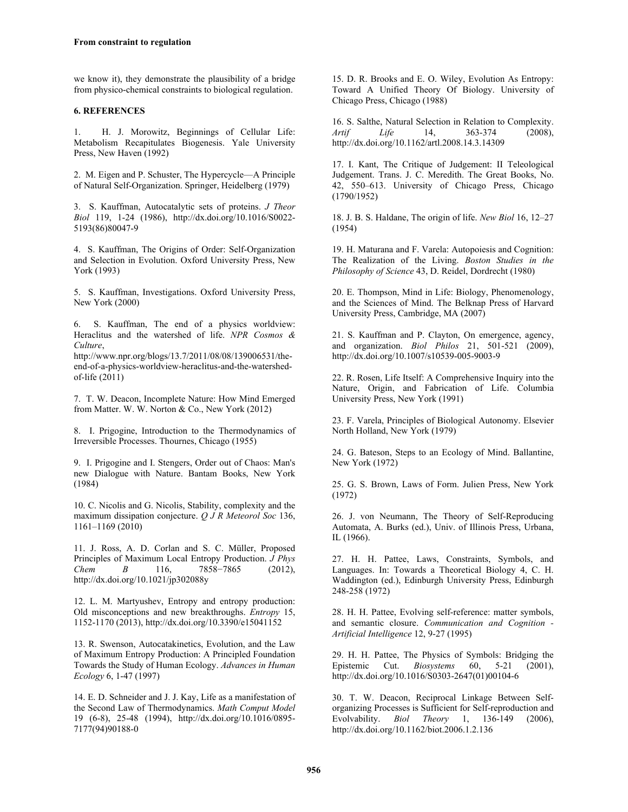we know it), they demonstrate the plausibility of a bridge from physico-chemical constraints to biological regulation.

## **6. REFERENCES**

1. H. J. Morowitz, Beginnings of Cellular Life: Metabolism Recapitulates Biogenesis. Yale University Press, New Haven (1992)

2. M. Eigen and P. Schuster, The Hypercycle—A Principle of Natural Self-Organization. Springer, Heidelberg (1979)

3. S. Kauffman, Autocatalytic sets of proteins. *J Theor Biol* 119, 1-24 (1986), http://dx.doi.org/10.1016/S0022- 5193(86)80047-9

4. S. Kauffman, The Origins of Order: Self-Organization and Selection in Evolution. Oxford University Press, New York (1993)

5. S. Kauffman, Investigations. Oxford University Press, New York (2000)

6. S. Kauffman, The end of a physics worldview: Heraclitus and the watershed of life. *NPR Cosmos & Culture*,

http://www.npr.org/blogs/13.7/2011/08/08/139006531/theend-of-a-physics-worldview-heraclitus-and-the-watershedof-life  $(2011)$ 

7. T. W. Deacon, Incomplete Nature: How Mind Emerged from Matter. W. W. Norton & Co., New York (2012)

8. I. Prigogine, Introduction to the Thermodynamics of Irreversible Processes. Thournes, Chicago (1955)

9. I. Prigogine and I. Stengers, Order out of Chaos: Man's new Dialogue with Nature. Bantam Books, New York (1984)

10. C. Nicolis and G. Nicolis, Stability, complexity and the maximum dissipation conjecture. *Q J R Meteorol Soc* 136, 1161–1169 (2010)

11. J. Ross, A. D. Corlan and S. C. Müller, Proposed Principles of Maximum Local Entropy Production. *J Phys Chem B* 116, 7858−7865 (2012), http://dx.doi.org/10.1021/jp302088y

12. L. M. Martyushev, Entropy and entropy production: Old misconceptions and new breakthroughs. *Entropy* 15, 1152-1170 (2013), http://dx.doi.org/10.3390/e15041152

13. R. Swenson, Autocatakinetics, Evolution, and the Law of Maximum Entropy Production: A Principled Foundation Towards the Study of Human Ecology. *Advances in Human Ecology* 6, 1-47 (1997)

14. E. D. Schneider and J. J. Kay, Life as a manifestation of the Second Law of Thermodynamics. *Math Comput Model* 19 (6-8), 25-48 (1994), http://dx.doi.org/10.1016/0895- 7177(94)90188-0

15. D. R. Brooks and E. O. Wiley, Evolution As Entropy: Toward A Unified Theory Of Biology. University of Chicago Press, Chicago (1988)

16. S. Salthe, Natural Selection in Relation to Complexity. *Artif Life* 14, 363-374 (2008), http://dx.doi.org/10.1162/artl.2008.14.3.14309

17. I. Kant, The Critique of Judgement: II Teleological Judgement. Trans. J. C. Meredith. The Great Books, No. 42, 550–613. University of Chicago Press, Chicago (1790/1952)

18. J. B. S. Haldane, The origin of life. *New Biol* 16, 12–27 (1954)

19. H. Maturana and F. Varela: Autopoiesis and Cognition: The Realization of the Living. *Boston Studies in the Philosophy of Science* 43, D. Reidel, Dordrecht (1980)

20. E. Thompson, Mind in Life: Biology, Phenomenology, and the Sciences of Mind. The Belknap Press of Harvard University Press, Cambridge, MA (2007)

21. S. Kauffman and P. Clayton, On emergence, agency, and organization. *Biol Philos* 21, 501-521 (2009), http://dx.doi.org/10.1007/s10539-005-9003-9

22. R. Rosen, Life Itself: A Comprehensive Inquiry into the Nature, Origin, and Fabrication of Life. Columbia University Press, New York (1991)

23. F. Varela, Principles of Biological Autonomy. Elsevier North Holland, New York (1979)

24. G. Bateson, Steps to an Ecology of Mind. Ballantine, New York (1972)

25. G. S. Brown, Laws of Form. Julien Press, New York (1972)

26. J. von Neumann, The Theory of Self-Reproducing Automata, A. Burks (ed.), Univ. of Illinois Press, Urbana, IL (1966).

27. H. H. Pattee, Laws, Constraints, Symbols, and Languages. In: Towards a Theoretical Biology 4, C. H. Waddington (ed.), Edinburgh University Press, Edinburgh 248-258 (1972)

28. H. H. Pattee, Evolving self-reference: matter symbols, and semantic closure. *Communication and Cognition - Artificial Intelligence* 12, 9-27 (1995)

29. H. H. Pattee, The Physics of Symbols: Bridging the Epistemic Cut. *Biosystems* 60, 5-21 (2001), http://dx.doi.org/10.1016/S0303-2647(01)00104-6

30. T. W. Deacon, Reciprocal Linkage Between Selforganizing Processes is Sufficient for Self-reproduction and Evolvability. *Biol Theory* 1, 136-149 (2006), http://dx.doi.org/10.1162/biot.2006.1.2.136